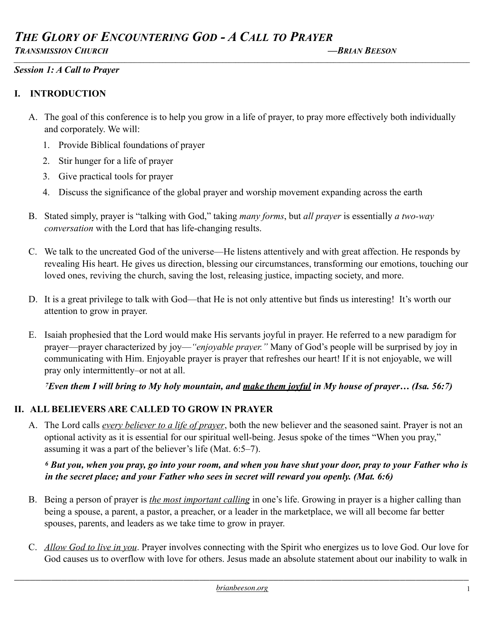# *THE GLORY OF ENCOUNTERING GOD - A CALL TO PRAYER TRANSMISSION CHURCH —BRIAN BEESON*

*\_\_\_\_\_\_\_\_\_\_\_\_\_\_\_\_\_\_\_\_\_\_\_\_\_\_\_\_\_\_\_\_\_\_\_\_\_\_\_\_\_\_\_\_\_\_\_\_\_\_\_\_\_\_\_\_\_\_\_\_\_\_\_\_\_\_\_\_\_\_\_\_\_\_\_\_\_\_\_\_\_\_\_\_\_\_\_\_\_\_\_\_\_\_\_\_\_\_\_\_\_\_\_\_\_\_\_\_\_\_\_\_\_\_\_\_\_\_\_\_\_\_\_\_\_\_\_\_\_\_\_\_\_\_\_\_\_\_\_\_\_\_\_\_*

### *Session 1: A Call to Prayer*

### **I. INTRODUCTION**

- A. The goal of this conference is to help you grow in a life of prayer, to pray more effectively both individually and corporately. We will:
	- 1. Provide Biblical foundations of prayer
	- 2. Stir hunger for a life of prayer
	- 3. Give practical tools for prayer
	- 4. Discuss the significance of the global prayer and worship movement expanding across the earth
- B. Stated simply, prayer is "talking with God," taking *many forms*, but *all prayer* is essentially *a two-way conversation* with the Lord that has life-changing results.
- C. We talk to the uncreated God of the universe—He listens attentively and with great affection. He responds by revealing His heart. He gives us direction, blessing our circumstances, transforming our emotions, touching our loved ones, reviving the church, saving the lost, releasing justice, impacting society, and more.
- D. It is a great privilege to talk with God—that He is not only attentive but finds us interesting! It's worth our attention to grow in prayer.
- E. Isaiah prophesied that the Lord would make His servants joyful in prayer. He referred to a new paradigm for prayer—prayer characterized by joy—*"enjoyable prayer."* Many of God's people will be surprised by joy in communicating with Him. Enjoyable prayer is prayer that refreshes our heart! If it is not enjoyable, we will pray only intermittently–or not at all.

## *7Even them I will bring to My holy mountain, and make them joyful in My house of prayer… (Isa. 56:7)*

# **II. ALL BELIEVERS ARE CALLED TO GROW IN PRAYER**

A. The Lord calls *every believer to a life of prayer*, both the new believer and the seasoned saint. Prayer is not an optional activity as it is essential for our spiritual well-being. Jesus spoke of the times "When you pray," assuming it was a part of the believer's life (Mat. 6:5–7).

### *6 But you, when you pray, go into your room, and when you have shut your door, pray to your Father who is in the secret place; and your Father who sees in secret will reward you openly. (Mat. 6:6)*

- B. Being a person of prayer is *the most important calling* in one's life. Growing in prayer is a higher calling than being a spouse, a parent, a pastor, a preacher, or a leader in the marketplace, we will all become far better spouses, parents, and leaders as we take time to grow in prayer.
- C. *Allow God to live in you*. Prayer involves connecting with the Spirit who energizes us to love God. Our love for God causes us to overflow with love for others. Jesus made an absolute statement about our inability to walk in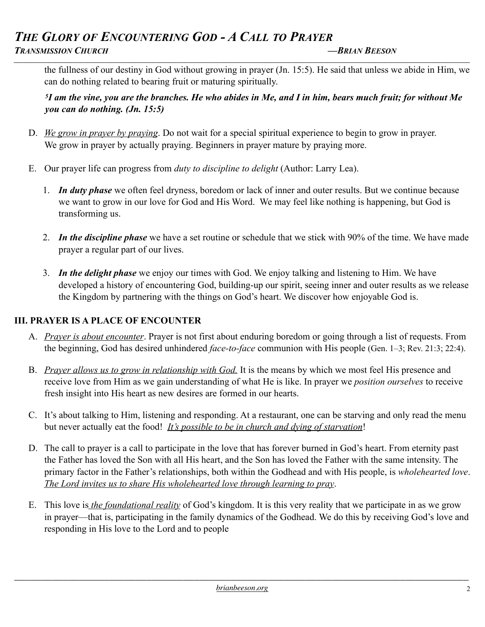# *THE GLORY OF ENCOUNTERING GOD - A CALL TO PRAYER TRANSMISSION CHURCH —BRIAN BEESON*

the fullness of our destiny in God without growing in prayer (Jn. 15:5). He said that unless we abide in Him, we can do nothing related to bearing fruit or maturing spiritually.

*\_\_\_\_\_\_\_\_\_\_\_\_\_\_\_\_\_\_\_\_\_\_\_\_\_\_\_\_\_\_\_\_\_\_\_\_\_\_\_\_\_\_\_\_\_\_\_\_\_\_\_\_\_\_\_\_\_\_\_\_\_\_\_\_\_\_\_\_\_\_\_\_\_\_\_\_\_\_\_\_\_\_\_\_\_\_\_\_\_\_\_\_\_\_\_\_\_\_\_\_\_\_\_\_\_\_\_\_\_\_\_\_\_\_\_\_\_\_\_\_\_\_\_\_\_\_\_\_\_\_\_\_\_\_\_\_\_\_\_\_\_\_\_\_*

*5I am the vine, you are the branches. He who abides in Me, and I in him, bears much fruit; for without Me you can do nothing. (Jn. 15:5)*

- D. *We grow in prayer by praying*. Do not wait for a special spiritual experience to begin to grow in prayer. We grow in prayer by actually praying. Beginners in prayer mature by praying more.
- E. Our prayer life can progress from *duty to discipline to delight* (Author: Larry Lea).
	- 1. *In duty phase* we often feel dryness, boredom or lack of inner and outer results. But we continue because we want to grow in our love for God and His Word. We may feel like nothing is happening, but God is transforming us.
	- 2. *In the discipline phase* we have a set routine or schedule that we stick with 90% of the time. We have made prayer a regular part of our lives.
	- 3. *In the delight phase* we enjoy our times with God. We enjoy talking and listening to Him. We have developed a history of encountering God, building-up our spirit, seeing inner and outer results as we release the Kingdom by partnering with the things on God's heart. We discover how enjoyable God is.

### **III. PRAYER IS A PLACE OF ENCOUNTER**

- A. *Prayer is about encounter*. Prayer is not first about enduring boredom or going through a list of requests. From the beginning, God has desired unhindered *face-to-face* communion with His people (Gen. 1–3; Rev. 21:3; 22:4).
- B. *Prayer allows us to grow in relationship with God.* It is the means by which we most feel His presence and receive love from Him as we gain understanding of what He is like. In prayer we *position ourselves* to receive fresh insight into His heart as new desires are formed in our hearts.
- C. It's about talking to Him, listening and responding. At a restaurant, one can be starving and only read the menu but never actually eat the food! *It's possible to be in church and dying of starvation*!
- D. The call to prayer is a call to participate in the love that has forever burned in God's heart. From eternity past the Father has loved the Son with all His heart, and the Son has loved the Father with the same intensity. The primary factor in the Father's relationships, both within the Godhead and with His people, is *wholehearted love*. *The Lord invites us to share His wholehearted love through learning to pray*.
- E. This love is *the foundational reality* of God's kingdom. It is this very reality that we participate in as we grow in prayer—that is, participating in the family dynamics of the Godhead. We do this by receiving God's love and responding in His love to the Lord and to people